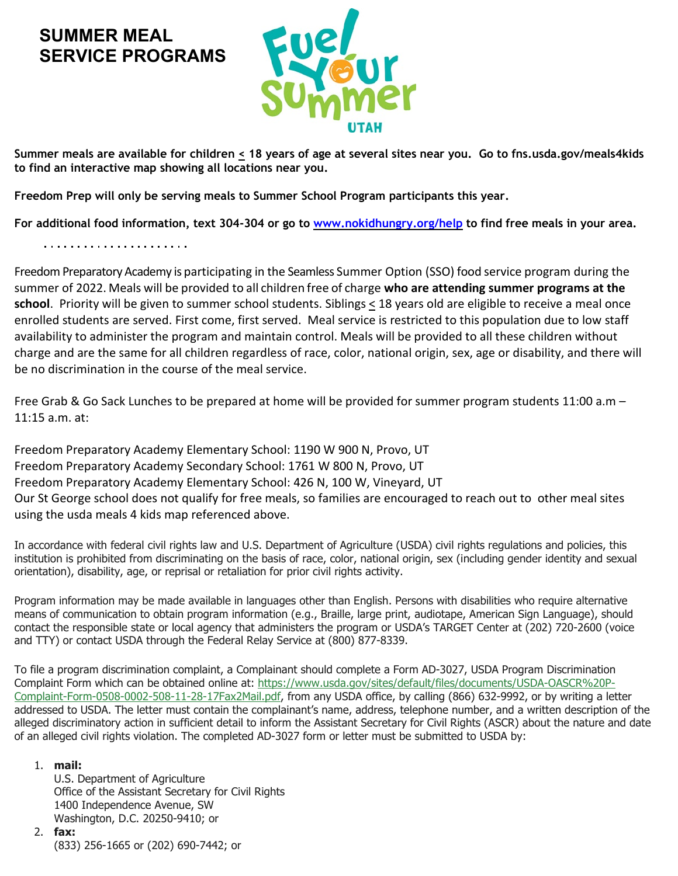## **SUMMER MEAL SERVICE PROGRAMS**



**Summer meals are available for children < 18 years of age at several sites near you. Go to fns.usda.gov/meals4kids to find an interactive map showing all locations near you.** 

**Freedom Prep will only be serving meals to Summer School Program participants this year.**

**For additional food information, text 304-304 or go to [www.nokidhungry.org/help](http://www.nokidhungry.org/help) to find free meals in your area.**

Freedom Preparatory Academy is participating in the Seamless Summer Option (SSO) food service program during the summer of 2022. Meals will be provided to all children free of charge **who are attending summer programs at the**  school. Priority will be given to summer school students. Siblings  $\leq$  18 years old are eligible to receive a meal once enrolled students are served. First come, first served. Meal service is restricted to this population due to low staff availability to administer the program and maintain control. Meals will be provided to all these children without charge and are the same for all children regardless of race, color, national origin, sex, age or disability, and there will be no discrimination in the course of the meal service.

Free Grab & Go Sack Lunches to be prepared at home will be provided for summer program students 11:00 a.m – 11:15 a.m. at:

Freedom Preparatory Academy Elementary School: 1190 W 900 N, Provo, UT Freedom Preparatory Academy Secondary School: 1761 W 800 N, Provo, UT Freedom Preparatory Academy Elementary School: 426 N, 100 W, Vineyard, UT Our St George school does not qualify for free meals, so families are encouraged to reach out to other meal sites using the usda meals 4 kids map referenced above.

In accordance with federal civil rights law and U.S. Department of Agriculture (USDA) civil rights regulations and policies, this institution is prohibited from discriminating on the basis of race, color, national origin, sex (including gender identity and sexual orientation), disability, age, or reprisal or retaliation for prior civil rights activity.

Program information may be made available in languages other than English. Persons with disabilities who require alternative means of communication to obtain program information (e.g., Braille, large print, audiotape, American Sign Language), should contact the responsible state or local agency that administers the program or USDA's TARGET Center at (202) 720-2600 (voice and TTY) or contact USDA through the Federal Relay Service at (800) 877-8339.

To file a program discrimination complaint, a Complainant should complete a Form AD-3027, USDA Program Discrimination Complaint Form which can be obtained online at: [https://www.usda.gov/sites/default/files/documents/USDA-OASCR%20P-](https://www.usda.gov/sites/default/files/documents/USDA-OASCR%20P-Complaint-Form-0508-0002-508-11-28-17Fax2Mail.pdf)[Complaint-Form-0508-0002-508-11-28-17Fax2Mail.pdf,](https://www.usda.gov/sites/default/files/documents/USDA-OASCR%20P-Complaint-Form-0508-0002-508-11-28-17Fax2Mail.pdf) from any USDA office, by calling (866) 632-9992, or by writing a letter addressed to USDA. The letter must contain the complainant's name, address, telephone number, and a written description of the alleged discriminatory action in sufficient detail to inform the Assistant Secretary for Civil Rights (ASCR) about the nature and date of an alleged civil rights violation. The completed AD-3027 form or letter must be submitted to USDA by:

## 1. **mail:**

U.S. Department of Agriculture Office of the Assistant Secretary for Civil Rights 1400 Independence Avenue, SW Washington, D.C. 20250-9410; or

2. **fax:**

(833) 256-1665 or (202) 690-7442; or